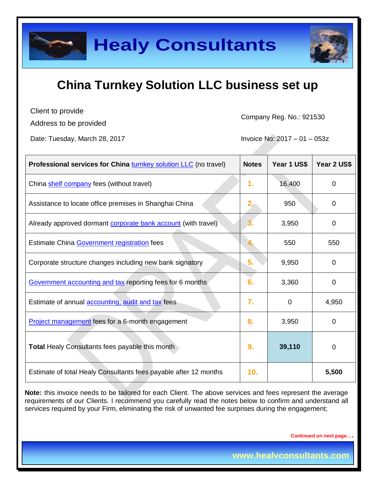

Client to provide

Address to be provided

Company Reg. No.: 921530

Date: Tuesday, March 28, 2017 **Invoice No: 2017** - 01 – 053z

| <b>Professional services for China turnkey solution LLC</b> (no travel) | <b>Notes</b>     | Year 1 US\$ | Year 2 US\$ |
|-------------------------------------------------------------------------|------------------|-------------|-------------|
| China shelf company fees (without travel)                               | 1.               | 16,400      | $\Omega$    |
| Assistance to locate office premises in Shanghai China                  | 2.               | 950         | 0           |
| Already approved dormant corporate bank account (with travel)           |                  | 3,950       | $\Omega$    |
| Estimate China Government registration fees                             |                  | 550         | 550         |
| Corporate structure changes including new bank signatory                | 5.               | 9,950       | $\Omega$    |
| Government accounting and tax reporting fees for 6 months               | 6.               | 3,360       | 0           |
| Estimate of annual <b>accounting</b> , audit and tax fees               | $\overline{7}$ . | $\Omega$    | 4,950       |
| Project management fees for a 6-month engagement                        | 8.               | 3,950       | 0           |
| <b>Total Healy Consultants fees payable this month</b>                  | 9.               | 39,110      | 0           |
| Estimate of total Healy Consultants fees payable after 12 months        | 10.              |             | 5,500       |

**Note:** this invoice needs to be tailored for each Client. The above services and fees represent the average requirements of our Clients. I recommend you carefully read the notes below to confirm and understand all services required by your Firm, eliminating the risk of unwanted fee surprises during the engagement;

**Continued on next page….**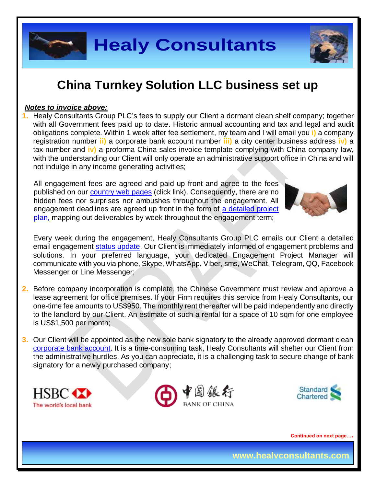

#### *Notes to invoice above:*

**1.** Healy Consultants Group PLC's fees to supply our Client a dormant clean shelf company; together with all Government fees paid up to date. Historic annual accounting and tax and legal and audit obligations complete. Within 1 week after fee settlement, my team and I will email you **i)** a company registration number **ii)** a corporate bank account number **iii)** a city center business address **iv)** a tax number and **iv)** a proforma China sales invoice template complying with China company law, with the understanding our Client will only operate an administrative support office in China and will not indulge in any income generating activities;

All engagement fees are agreed and paid up front and agree to the fees published on our [country web pages](http://www.healyconsultants.com/turnkey-solutions/) (click link). Consequently, there are no hidden fees nor surprises nor ambushes throughout the engagement. All engagement deadlines are agreed up front in the form of a detailed project [plan,](http://www.healyconsultants.com/example-detailed-project-plan/) mapping out deliverables by week throughout the engagement term;



Every week during the engagement, Healy Consultants Group PLC emails our Client a detailed email engagement [status update.](http://www.healyconsultants.com/index-important-links/weekly-engagement-status-email/) Our Client is immediately informed of engagement problems and solutions. In your preferred language, your dedicated Engagement Project Manager will communicate with you via phone, Skype, WhatsApp, Viber, sms, WeChat, Telegram, QQ, Facebook Messenger or Line Messenger;

- **2.** Before company incorporation is complete, the Chinese Government must review and approve a lease agreement for office premises. If your Firm requires this service from Healy Consultants, our one-time fee amounts to US\$950. The monthly rent thereafter will be paid independently and directly to the landlord by our Client. An estimate of such a rental for a space of 10 sqm for one employee is US\$1,500 per month;
- **3.** Our Client will be appointed as the new sole bank signatory to the already approved dormant clean [corporate bank account.](http://www.healyconsultants.com/international-banking/) It is a time-consuming task, Healy Consultants will shelter our Client from the administrative hurdles. As you can appreciate, it is a challenging task to secure change of bank signatory for a newly purchased company;







**Continued on next page….**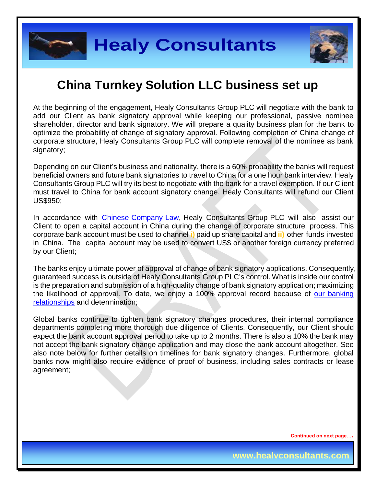

At the beginning of the engagement, Healy Consultants Group PLC will negotiate with the bank to add our Client as bank signatory approval while keeping our professional, passive nominee shareholder, director and bank signatory. We will prepare a quality business plan for the bank to optimize the probability of change of signatory approval. Following completion of China change of corporate structure, Healy Consultants Group PLC will complete removal of the nominee as bank signatory;

Depending on our Client's business and nationality, there is a 60% probability the banks will request beneficial owners and future bank signatories to travel to China for a one hour bank interview. Healy Consultants Group PLC will try its best to negotiate with the bank for a travel exemption. If our Client must travel to China for bank account signatory change, Healy Consultants will refund our Client US\$950;

In accordance with **Chinese Company Law**, Healy Consultants Group PLC will also assist our Client to open a capital account in China during the change of corporate structure process. This corporate bank account must be used to channel **i)** paid up share capital and **ii)** other funds invested in China. The capital account may be used to convert US\$ or another foreign currency preferred by our Client;

The banks enjoy ultimate power of approval of change of bank signatory applications. Consequently, guaranteed success is outside of Healy Consultants Group PLC's control. What is inside our control is the preparation and submission of a high-quality change of bank signatory application; maximizing the likelihood of approval. To date, we enjoy a 100% approval record because of [our banking](http://www.healyconsultants.com/international-banking/corporate-accounts/)  [relationships](http://www.healyconsultants.com/international-banking/corporate-accounts/) and determination;

Global banks continue to tighten bank signatory changes procedures, their internal compliance departments completing more thorough due diligence of Clients. Consequently, our Client should expect the bank account approval period to take up to 2 months. There is also a 10% the bank may not accept the bank signatory change application and may close the bank account altogether. See also note below for further details on timelines for bank signatory changes. Furthermore, global banks now might also require evidence of proof of business, including sales contracts or lease agreement;

**Continued on next page….**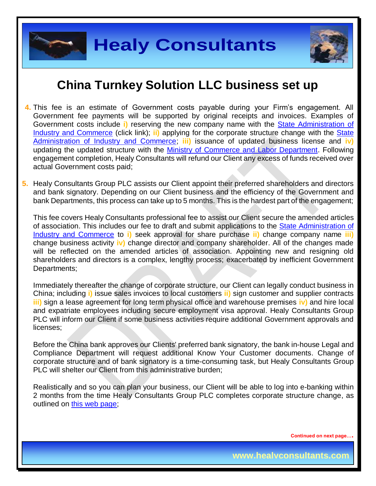

- **4.** This fee is an estimate of Government costs payable during your Firm's engagement. All Government fee payments will be supported by original receipts and invoices. Examples of Government costs include **i)** reserving the new company name with the [State Administration of](http://www.saic.gov.cn/english/)  [Industry and Commerce](http://www.saic.gov.cn/english/) (click link); **ii)** applying for the corporate structure change with the [State](http://www.saic.gov.cn/english/)  [Administration of Industry and Commerce;](http://www.saic.gov.cn/english/) **iii)** issuance of updated business license and **iv)** updating the updated structure with the [Ministry of Commerce and Labor Department.](http://english.mofcom.gov.cn/aarticle/policyrelease/internationalpolicy/200703/20070304475283.html) Following engagement completion, Healy Consultants will refund our Client any excess of funds received over actual Government costs paid;
- **5.** Healy Consultants Group PLC assists our Client appoint their preferred shareholders and directors and bank signatory. Depending on our Client business and the efficiency of the Government and bank Departments, this process can take up to 5 months. This is the hardest part of the engagement;

This fee covers Healy Consultants professional fee to assist our Client secure the amended articles of association. This includes our fee to draft and submit applications to the [State Administration of](http://www.saic.gov.cn/english/)  [Industry and Commerce](http://www.saic.gov.cn/english/) to **i)** seek approval for share purchase **ii)** change company name **iii)** change business activity **iv)** change director and company shareholder. All of the changes made will be reflected on the amended articles of association. Appointing new and resigning old shareholders and directors is a complex, lengthy process; exacerbated by inefficient Government Departments;

Immediately thereafter the change of corporate structure, our Client can legally conduct business in China; including **i)** issue sales invoices to local customers **ii)** sign customer and supplier contracts **iii)** sign a lease agreement for long term physical office and warehouse premises **iv)** and hire local and expatriate employees including secure employment visa approval. Healy Consultants Group PLC will inform our Client if some business activities require additional Government approvals and licenses;

Before the China bank approves our Clients' preferred bank signatory, the bank in-house Legal and Compliance Department will request additional Know Your Customer documents. Change of corporate structure and of bank signatory is a time-consuming task, but Healy Consultants Group PLC will shelter our Client from this administrative burden;

Realistically and so you can plan your business, our Client will be able to log into e-banking within 2 months from the time Healy Consultants Group PLC completes corporate structure change, as outlined on [this web page;](http://www.healyconsultants.com/turnkey-solutions/)

**Continued on next page….**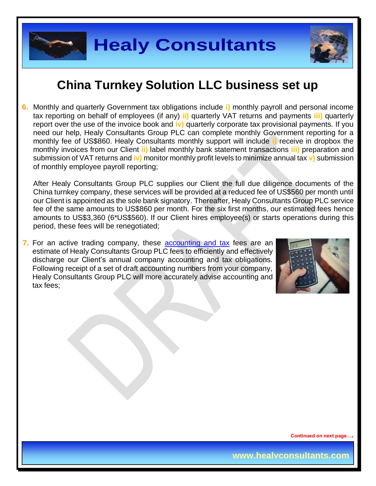

**6.** Monthly and quarterly Government tax obligations include **i)** monthly payroll and personal income tax reporting on behalf of employees (if any) **ii)** quarterly VAT returns and payments **iii)** quarterly report over the use of the invoice book and **iv)** quarterly corporate tax provisional payments. If you need our help, Healy Consultants Group PLC can complete monthly Government reporting for a monthly fee of US\$860. Healy Consultants monthly support will include **i)** receive in dropbox the monthly invoices from our Client **ii)** label monthly bank statement transactions **iii)** preparation and submission of VAT returns and **iv)** monitor monthly profit levels to minimize annual tax **v)** submission of monthly employee payroll reporting;

After Healy Consultants Group PLC supplies our Client the full due diligence documents of the China turnkey company, these services will be provided at a reduced fee of US\$560 per month until our Client is appointed as the sole bank signatory. Thereafter, Healy Consultants Group PLC service fee of the same amounts to US\$860 per month. For the six first months, our estimated fees hence amounts to US\$3,360 (6\*US\$560). If our Client hires employee(s) or starts operations during this period, these fees will be renegotiated;

**7.** For an active trading company, these [accounting and tax](http://www.healyconsultants.com/china-company-registration-guide/accounting-legal/) fees are an estimate of Healy Consultants Group PLC fees to efficiently and effectively discharge our Client's annual company accounting and tax obligations. Following receipt of a set of draft accounting numbers from your company, Healy Consultants Group PLC will more accurately advise accounting and tax fees;



**Continued on next page….**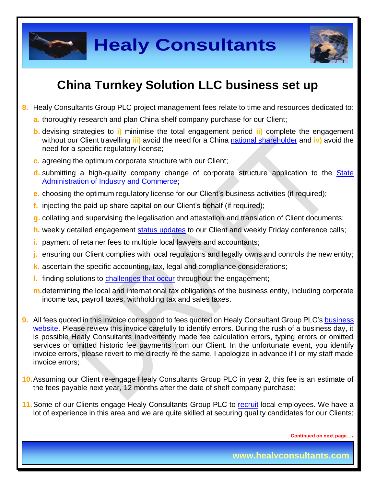

- **8.** Healy Consultants Group PLC project management fees relate to time and resources dedicated to:
	- **a.** thoroughly research and plan China shelf company purchase for our Client;
	- **b.** devising strategies to **i)** minimise the total engagement period **ii)** complete the engagement without our Client travelling **iii)** avoid the need for a China national [shareholder](http://www.healyconsultants.com/corporate-advisory-services/nominee-shareholders-directors/national-shareholder-services/) and **iv)** avoid the need for a specific regulatory license;
	- **c.** agreeing the optimum corporate structure with our Client;
	- **d.** submitting a high-quality company change of corporate structure application to the [State](http://www.saic.gov.cn/english/)  [Administration of Industry and Commerce;](http://www.saic.gov.cn/english/)
	- **e.** choosing the optimum regulatory license for our Client's business activities (if required);
	- **f.** injecting the paid up share capital on our Client's behalf (if required);
	- **g.** collating and supervising the legalisation and attestation and translation of Client documents;
	- **h.** weekly detailed engagement [status updates](http://www.healyconsultants.com/index-important-links/weekly-engagement-status-email/) to our Client and weekly Friday conference calls;
	- **i.** payment of retainer fees to multiple local lawyers and accountants;
	- **j.** ensuring our Client complies with local regulations and legally owns and controls the new entity;
	- **k.** ascertain the specific accounting, tax, legal and compliance considerations;
	- **l.** finding solutions to [challenges that occur](http://www.healyconsultants.com/engagement-project-management/) throughout the engagement;
	- **m.**determining the local and international tax obligations of the business entity, including corporate income tax, payroll taxes, withholding tax and sales taxes.
- **9.** All fees quoted in this invoice correspond to fees quoted on Healy Consultant Group PLC's business [website.](http://www.healyconsultants.com/company-formation/fees/) Please review this invoice carefully to identify errors. During the rush of a business day, it is possible Healy Consultants inadvertently made fee calculation errors, typing errors or omitted services or omitted historic fee payments from our Client. In the unfortunate event, you identify invoice errors, please revert to me directly re the same. I apologize in advance if I or my staff made invoice errors;
- **10.**Assuming our Client re-engage Healy Consultants Group PLC in year 2, this fee is an estimate of the fees payable next year, 12 months after the date of shelf company purchase;
- 11. Some of our Clients engage Healy Consultants Group PLC to [recruit](http://www.healyconsultants.com/corporate-outsourcing-services/how-we-help-our-clients-recruit-quality-employees/) local employees. We have a lot of experience in this area and we are quite skilled at securing quality candidates for our Clients;

**Continued on next page….**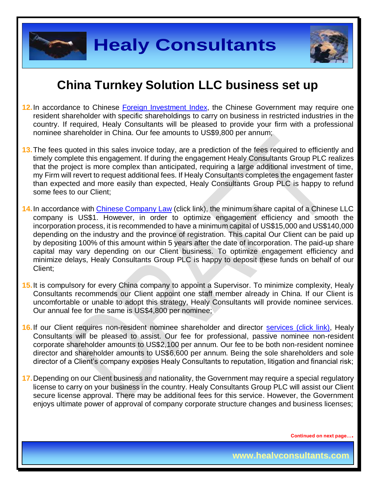

- 12. In accordance to Chinese [Foreign Investment Index,](http://www.ndrc.gov.cn/zcfb/zcfbl/201503/W020150402620481787669.pdf) the Chinese Government may require one resident shareholder with specific shareholdings to carry on business in restricted industries in the country. If required, Healy Consultants will be pleased to provide your firm with a professional nominee shareholder in China. Our fee amounts to US\$9,800 per annum;
- **13.**The fees quoted in this sales invoice today, are a prediction of the fees required to efficiently and timely complete this engagement. If during the engagement Healy Consultants Group PLC realizes that the project is more complex than anticipated, requiring a large additional investment of time, my Firm will revert to request additional fees. If Healy Consultants completes the engagement faster than expected and more easily than expected, Healy Consultants Group PLC is happy to refund some fees to our Client;
- 14. In accordance with **Chinese Company Law** (click link), the minimum share capital of a Chinese LLC company is US\$1. However, in order to optimize engagement efficiency and smooth the incorporation process, it is recommended to have a minimum capital of US\$15,000 and US\$140,000 depending on the industry and the province of registration. This capital Our Client can be paid up by depositing 100% of this amount within 5 years after the date of incorporation. The paid-up share capital may vary depending on our Client business. To optimize engagement efficiency and minimize delays, Healy Consultants Group PLC is happy to deposit these funds on behalf of our Client;
- **15.**It is compulsory for every China company to appoint a Supervisor. To minimize complexity, Healy Consultants recommends our Client appoint one staff member already in China. If our Client is uncomfortable or unable to adopt this strategy, Healy Consultants will provide nominee services. Our annual fee for the same is US\$4,800 per nominee;
- **16.**If our Client requires non-resident nominee shareholder and director [services \(click link\),](http://www.healyconsultants.com/corporate-outsourcing-services/nominee-shareholders-directors/) Healy Consultants will be pleased to assist. Our fee for professional, passive nominee non-resident corporate shareholder amounts to US\$2,100 per annum. Our fee to be both non-resident nominee director and shareholder amounts to US\$6,600 per annum. Being the sole shareholders and sole director of a Client's company exposes Healy Consultants to reputation, litigation and financial risk;
- **17.**Depending on our Client business and nationality, the Government may require a special regulatory license to carry on your business in the country. Healy Consultants Group PLC will assist our Client secure license approval. There may be additional fees for this service. However, the Government enjoys ultimate power of approval of company corporate structure changes and business licenses;

**Continued on next page….**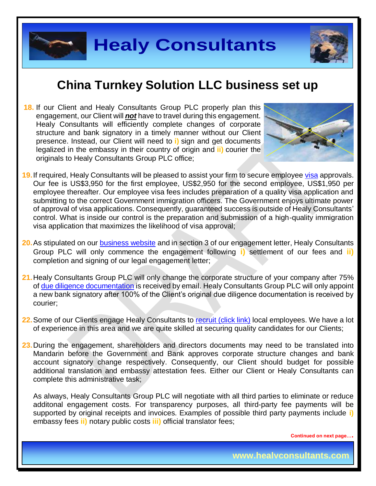

**18.** If our Client and Healy Consultants Group PLC properly plan this engagement, our Client will *not* have to travel during this engagement. Healy Consultants will efficiently complete changes of corporate structure and bank signatory in a timely manner without our Client presence. Instead, our Client will need to **i)** sign and get documents legalized in the embassy in their country of origin and **ii)** courier the originals to Healy Consultants Group PLC office;



- 19. If required, Healy Consultants will be pleased to assist your firm to secure employee [visa](http://www.healyconsultants.com/china-company-registration/formation-support-services/) approvals. Our fee is US\$3,950 for the first employee, US\$2,950 for the second employee, US\$1,950 per employee thereafter. Our employee visa fees includes preparation of a quality visa application and submitting to the correct Government immigration officers. The Government enjoys ultimate power of approval of visa applications. Consequently, guaranteed success is outside of Healy Consultants' control. What is inside our control is the preparation and submission of a high-quality immigration visa application that maximizes the likelihood of visa approval;
- **20.**As stipulated on our [business website](http://www.healyconsultants.com/) and in section 3 of our engagement letter, Healy Consultants Group PLC will only commence the engagement following **i)** settlement of our fees and **ii)** completion and signing of our legal engagement letter;
- **21.**Healy Consultants Group PLC will only change the corporate structure of your company after 75% o[f due diligence documentation](http://www.healyconsultants.com/due-diligence/) is received by email. Healy Consultants Group PLC will only appoint a new bank signatory after 100% of the Client's original due diligence documentation is received by courier;
- 22. Some of our Clients engage Healy Consultants to [recruit \(click link\)](http://www.healyconsultants.com/corporate-outsourcing-services/how-we-help-our-clients-recruit-quality-employees/) local employees. We have a lot of experience in this area and we are quite skilled at securing quality candidates for our Clients;
- **23.**During the engagement, shareholders and directors documents may need to be translated into Mandarin before the Government and Bank approves corporate structure changes and bank account signatory change respectively. Consequently, our Client should budget for possible additional translation and embassy attestation fees. Either our Client or Healy Consultants can complete this administrative task;

As always, Healy Consultants Group PLC will negotiate with all third parties to eliminate or reduce additonal engagement costs. For transparency purposes, all third-party fee payments will be supported by original receipts and invoices. Examples of possible third party payments include **i)** embassy fees **ii)** notary public costs **iii)** official translator fees;

**Continued on next page….**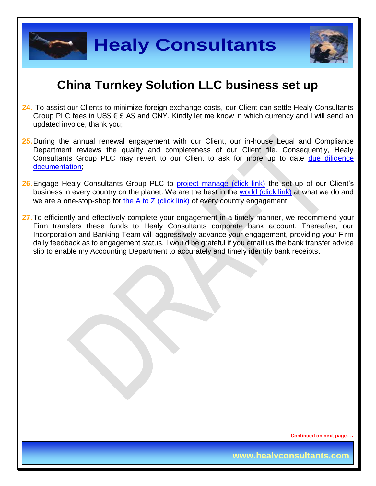

**Healy Consultants**

### **China Turnkey Solution LLC business set up**

- **24.** To assist our Clients to minimize foreign exchange costs, our Client can settle Healy Consultants Group PLC fees in US\$  $\epsilon$  £ A\$ and CNY. Kindly let me know in which currency and I will send an updated invoice, thank you;
- **25.**During the annual renewal engagement with our Client, our in-house Legal and Compliance Department reviews the quality and completeness of our Client file. Consequently, Healy Consultants Group PLC may revert to our Client to ask for more up to date due diligence [documentation;](http://www.healyconsultants.com/due-diligence/)
- 26. Engage Healy Consultants Group PLC to [project manage \(click link\)](http://www.healyconsultants.com/project-manage-engagements/) the set up of our Client's business in every country on the planet. We are the best in the [world \(click link\)](http://www.healyconsultants.com/best-in-the-world/) at what we do and we are a one-stop-shop for [the A to Z \(click link\)](http://www.healyconsultants.com/a-to-z-of-business-set-up/) of every country engagement;
- 27. To efficiently and effectively complete your engagement in a timely manner, we recommend your Firm transfers these funds to Healy Consultants corporate bank account. Thereafter, our Incorporation and Banking Team will aggressively advance your engagement, providing your Firm daily feedback as to engagement status. I would be grateful if you email us the bank transfer advice slip to enable my Accounting Department to accurately and timely identify bank receipts.